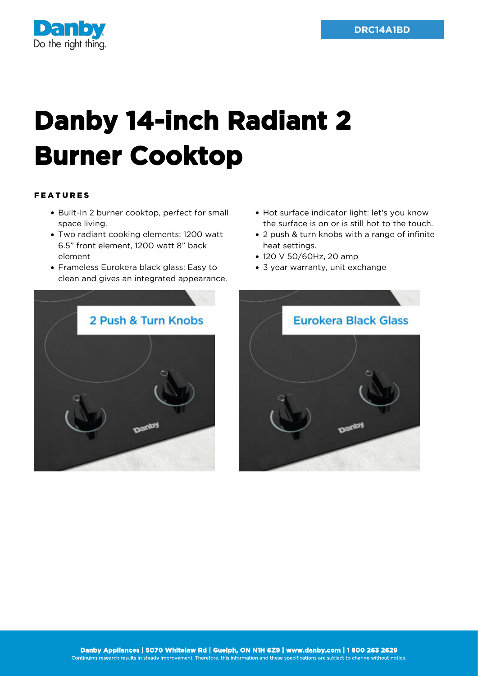

## **Danby 14-inch Radiant 2 Burner Cooktop**

## FEATURES

- Built-In 2 burner cooktop, perfect for small space living.
- Two radiant cooking elements: 1200 watt 6.5" front element, 1200 watt 8" back element
- Frameless Eurokera black glass: Easy to clean and gives an integrated appearance.
- Hot surface indicator light: let's you know the surface is on or is still hot to the touch.
- 2 push & turn knobs with a range of infinite heat settings.
- 120 V 50/60Hz, 20 amp
- 3 year warranty, unit exchange